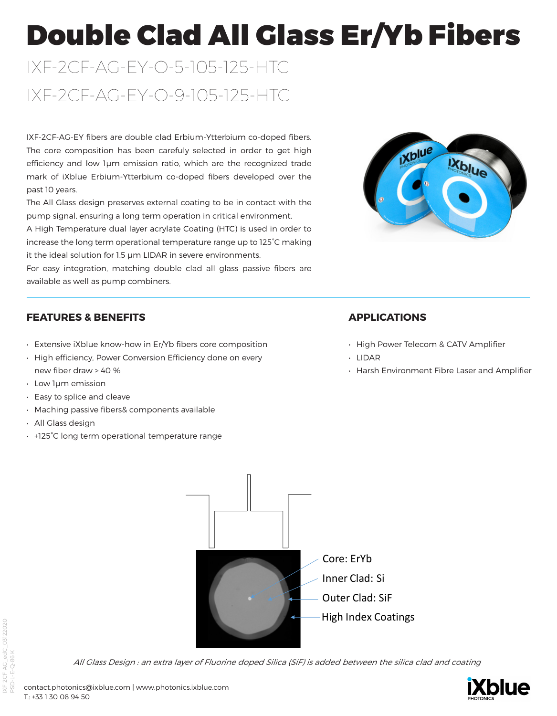# Double Clad All Glass Er/Yb Fibers

# IXF-2CF-AG-EY-O-5-105-125-HTC IXF-2CF-AG-EY-O-9-105-125-HTC

IXF-2CF-AG-EY fibers are double clad Erbium-Ytterbium co-doped fibers. The core composition has been carefuly selected in order to get high efficiency and low 1μm emission ratio, which are the recognized trade mark of iXblue Erbium-Ytterbium co-doped fibers developed over the past 10 years.

The All Glass design preserves external coating to be in contact with the pump signal, ensuring a long term operation in critical environment.

A High Temperature dual layer acrylate Coating (HTC) is used in order to increase the long term operational temperature range up to 125°C making it the ideal solution for 1.5 μm LIDAR in severe environments.

For easy integration, matching double clad all glass passive fibers are available as well as pump combiners.



## **FEATURES & BENEFITS**

- Extensive iXblue know-how in Er/Yb fibers core composition
- High efficiency, Power Conversion Efficiency done on every new fiber draw > 40 %
- Low 1μm emission
- Easy to splice and cleave
- Maching passive fibers& components available
- All Glass design
- +125°C long term operational temperature range

## **APPLICATIONS**

- High Power Telecom & CATV Amplifier
- LIDAR
- Harsh Environment Fibre Laser and Amplifier



All Glass Design : an extra layer of Fluorine doped Silica (SiF) is added between the silica clad and coating